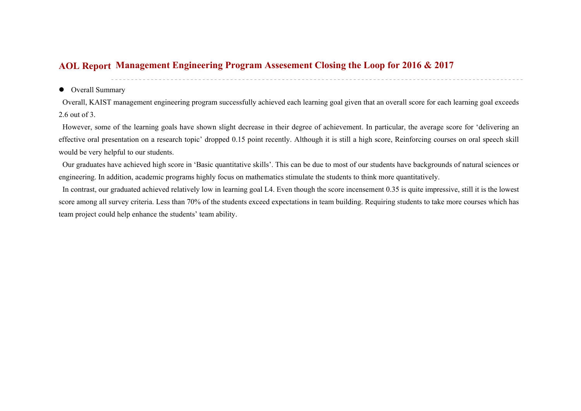## **Management Engineering Program Assesement Closing the Loop for 2016 & 2017 AOL Report**

## • Overall Summary

Overall, KAIST management engineering program successfully achieved each learning goal given that an overall score for each learning goal exceeds 2.6 out of 3.

 However, some of the learning goals have shown slight decrease in their degree of achievement. In particular, the average score for 'delivering an effective oral presentation on a research topic' dropped 0.15 point recently. Although it is still a high score, Reinforcing courses on oral speech skill would be very helpful to our students.

 Our graduates have achieved high score in 'Basic quantitative skills'. This can be due to most of our students have backgrounds of natural sciences or engineering. In addition, academic programs highly focus on mathematics stimulate the students to think more quantitatively.

 In contrast, our graduated achieved relatively low in learning goal L4. Even though the score incensement 0.35 is quite impressive, still it is the lowest score among all survey criteria. Less than 70% of the students exceed expectations in team building. Requiring students to take more courses which has team project could help enhance the students' team ability.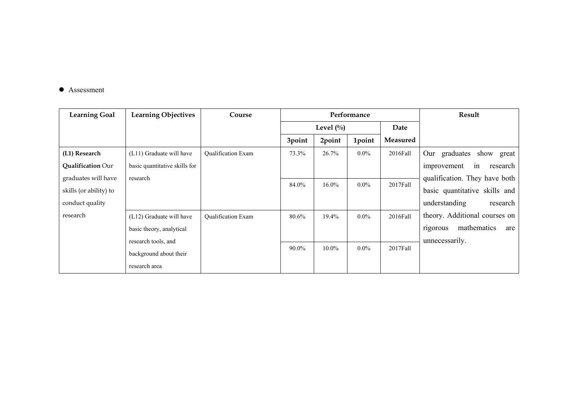## ● Assessment

| <b>Learning Goal</b>     | <b>Learning Objectives</b>    | Course                    | Performance  |          |         | Result          |                                |
|--------------------------|-------------------------------|---------------------------|--------------|----------|---------|-----------------|--------------------------------|
|                          |                               |                           | Level $(\%)$ |          |         | Date            |                                |
|                          |                               |                           | 3point       | 2point   | 1point  | <b>Measured</b> |                                |
| (L1) Research            | (L11) Graduate will have      | <b>Qualification Exam</b> | 73.3%        | 26.7%    | $0.0\%$ | 2016Fall        | graduates<br>show great<br>Our |
| <b>Qualification Our</b> | basic quantitative skills for |                           |              |          |         |                 | research<br>improvement<br>in  |
| graduates will have      | research                      |                           |              |          |         |                 | qualification. They have both  |
| skills (or ability) to   |                               |                           | 84.0%        | $16.0\%$ | $0.0\%$ | 2017Fall        | basic quantitative skills and  |
| conduct quality          |                               |                           |              |          |         |                 | understanding<br>research      |
| research                 | (L12) Graduate will have      | Qualification Exam        | 80.6%        | 19.4%    | $0.0\%$ | 2016Fall        | theory. Additional courses on  |
|                          | basic theory, analytical      |                           |              |          |         |                 | mathematics<br>rigorous<br>are |
|                          | research tools, and           |                           |              |          |         |                 | unnecessarily.                 |
|                          | background about their        |                           | 90.0%        | 10.0%    | $0.0\%$ | 2017Fall        |                                |
|                          | research area                 |                           |              |          |         |                 |                                |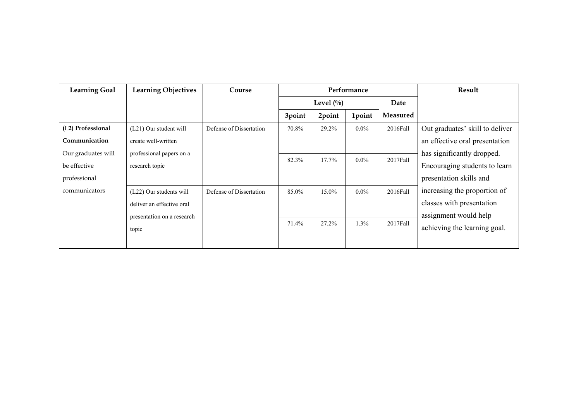| <b>Learning Goal</b> | <b>Learning Objectives</b> | Course                  | Performance  |        |         |                 | Result                          |
|----------------------|----------------------------|-------------------------|--------------|--------|---------|-----------------|---------------------------------|
|                      |                            |                         | Level $(\%)$ |        |         | Date            |                                 |
|                      |                            |                         | 3point       | 2point | 1point  | <b>Measured</b> |                                 |
| (L2) Professional    | (L21) Our student will     | Defense of Dissertation | 70.8%        | 29.2%  | $0.0\%$ | $2016$ Fall     | Out graduates' skill to deliver |
| Communication        | create well-written        |                         |              |        |         |                 | an effective oral presentation  |
| Our graduates will   | professional papers on a   |                         |              |        |         |                 | has significantly dropped.      |
| be effective         | research topic             |                         | 82.3%        | 17.7%  | $0.0\%$ | $2017$ Fall     | Encouraging students to learn   |
| professional         |                            |                         |              |        |         |                 | presentation skills and         |
| communicators        | (L22) Our students will    | Defense of Dissertation | 85.0%        | 15.0%  | $0.0\%$ | 2016Fall        | increasing the proportion of    |
|                      | deliver an effective oral  |                         |              |        |         |                 | classes with presentation       |
|                      | presentation on a research |                         |              |        |         |                 | assignment would help           |
|                      | topic                      |                         | 71.4%        | 27.2%  | 1.3%    | $2017$ Fall     | achieving the learning goal.    |
|                      |                            |                         |              |        |         |                 |                                 |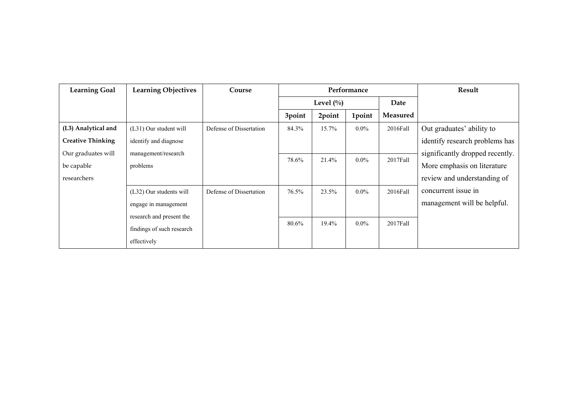| <b>Learning Goal</b>     | <b>Learning Objectives</b> | Course                  | Performance  |        |         |                 | Result                          |
|--------------------------|----------------------------|-------------------------|--------------|--------|---------|-----------------|---------------------------------|
|                          |                            |                         | Level $(\%)$ |        |         | Date            |                                 |
|                          |                            |                         | 3point       | 2point | 1point  | <b>Measured</b> |                                 |
| (L3) Analytical and      | (L31) Our student will     | Defense of Dissertation | 84.3%        | 15.7%  | $0.0\%$ | 2016Fall        | Out graduates' ability to       |
| <b>Creative Thinking</b> | identify and diagnose      |                         |              |        |         |                 | identify research problems has  |
| Our graduates will       | management/research        |                         |              |        |         |                 | significantly dropped recently. |
| be capable               | problems                   |                         | 78.6%        | 21.4%  | $0.0\%$ | 2017Fall        | More emphasis on literature     |
| researchers              |                            |                         |              |        |         |                 | review and understanding of     |
|                          | (L32) Our students will    | Defense of Dissertation | 76.5%        | 23.5%  | $0.0\%$ | 2016Fall        | concurrent issue in             |
|                          | engage in management       |                         |              |        |         |                 | management will be helpful.     |
|                          | research and present the   |                         |              |        |         |                 |                                 |
|                          | findings of such research  |                         | 80.6%        | 19.4%  | $0.0\%$ | 2017Fall        |                                 |
|                          | effectively                |                         |              |        |         |                 |                                 |